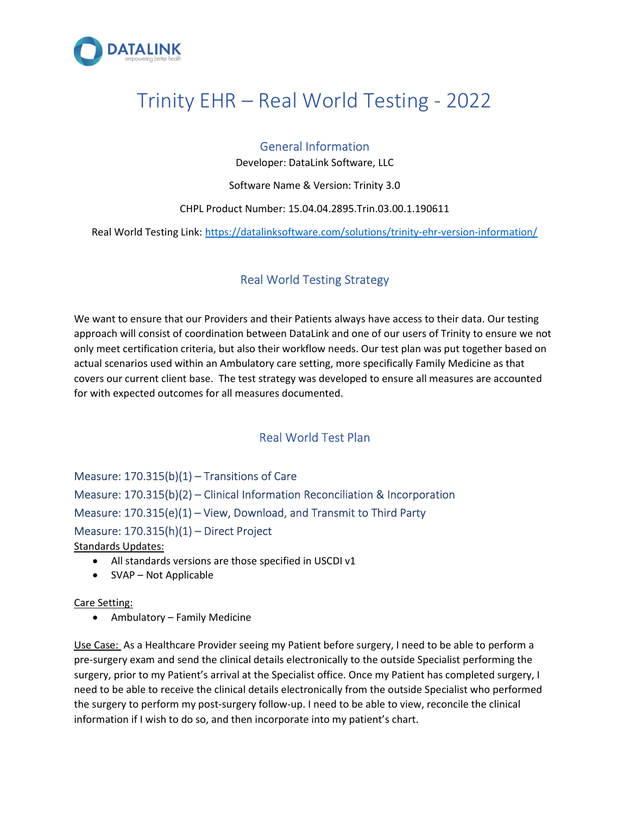

# Trinity EHR – Real World Testing - 2022

# General Information

Developer: DataLink Software, LLC

Software Name & Version: Trinity 3.0

#### CHPL Product Number: 15.04.04.2895.Trin.03.00.1.190611

Real World Testing Link: https://datalinksoftware.com/solutions/trinity-ehr-version-information/

# Real World Testing Strategy

We want to ensure that our Providers and their Patients always have access to their data. Our testing approach will consist of coordination between DataLink and one of our users of Trinity to ensure we not only meet certification criteria, but also their workflow needs. Our test plan was put together based on actual scenarios used within an Ambulatory care setting, more specifically Family Medicine as that covers our current client base. The test strategy was developed to ensure all measures are accounted for with expected outcomes for all measures documented.

# Real World Test Plan

Measure: 170.315(b)(1) – Transitions of Care

Measure: 170.315(b)(2) – Clinical Information Reconciliation & Incorporation Measure: 170.315(e)(1) – View, Download, and Transmit to Third Party

## Measure: 170.315(h)(1) – Direct Project

Standards Updates:

- All standards versions are those specified in USCDI v1
- SVAP Not Applicable

#### Care Setting:

Ambulatory – Family Medicine

Use Case: As a Healthcare Provider seeing my Patient before surgery, I need to be able to perform a pre-surgery exam and send the clinical details electronically to the outside Specialist performing the surgery, prior to my Patient's arrival at the Specialist office. Once my Patient has completed surgery, I need to be able to receive the clinical details electronically from the outside Specialist who performed the surgery to perform my post-surgery follow-up. I need to be able to view, reconcile the clinical information if I wish to do so, and then incorporate into my patient's chart.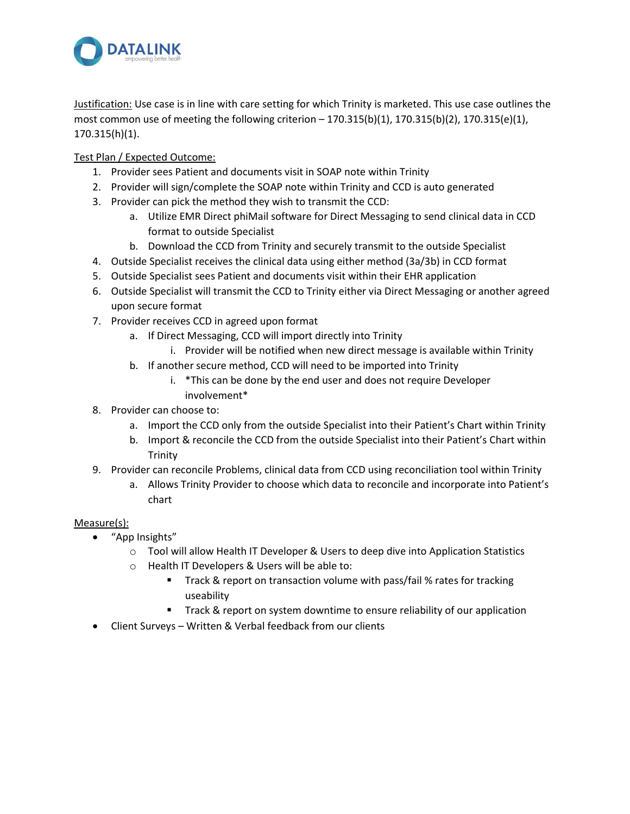

Justification: Use case is in line with care setting for which Trinity is marketed. This use case outlines the most common use of meeting the following criterion  $-170.315(b)(1)$ , 170.315(b)(2), 170.315(e)(1), 170.315(h)(1).

### Test Plan / Expected Outcome:

- 1. Provider sees Patient and documents visit in SOAP note within Trinity
- 2. Provider will sign/complete the SOAP note within Trinity and CCD is auto generated
- 3. Provider can pick the method they wish to transmit the CCD:
	- a. Utilize EMR Direct phiMail software for Direct Messaging to send clinical data in CCD format to outside Specialist
	- b. Download the CCD from Trinity and securely transmit to the outside Specialist
- 4. Outside Specialist receives the clinical data using either method (3a/3b) in CCD format
- 5. Outside Specialist sees Patient and documents visit within their EHR application
- 6. Outside Specialist will transmit the CCD to Trinity either via Direct Messaging or another agreed upon secure format
- 7. Provider receives CCD in agreed upon format
	- a. If Direct Messaging, CCD will import directly into Trinity
		- i. Provider will be notified when new direct message is available within Trinity
	- b. If another secure method, CCD will need to be imported into Trinity
		- i. \*This can be done by the end user and does not require Developer involvement\*
- 8. Provider can choose to:
	- a. Import the CCD only from the outside Specialist into their Patient's Chart within Trinity
	- b. Import & reconcile the CCD from the outside Specialist into their Patient's Chart within Trinity
- 9. Provider can reconcile Problems, clinical data from CCD using reconciliation tool within Trinity
	- a. Allows Trinity Provider to choose which data to reconcile and incorporate into Patient's chart

#### Measure(s):

- "App Insights"
	- o Tool will allow Health IT Developer & Users to deep dive into Application Statistics
	- o Health IT Developers & Users will be able to:
		- Track & report on transaction volume with pass/fail % rates for tracking useability
		- Track & report on system downtime to ensure reliability of our application
- Client Surveys Written & Verbal feedback from our clients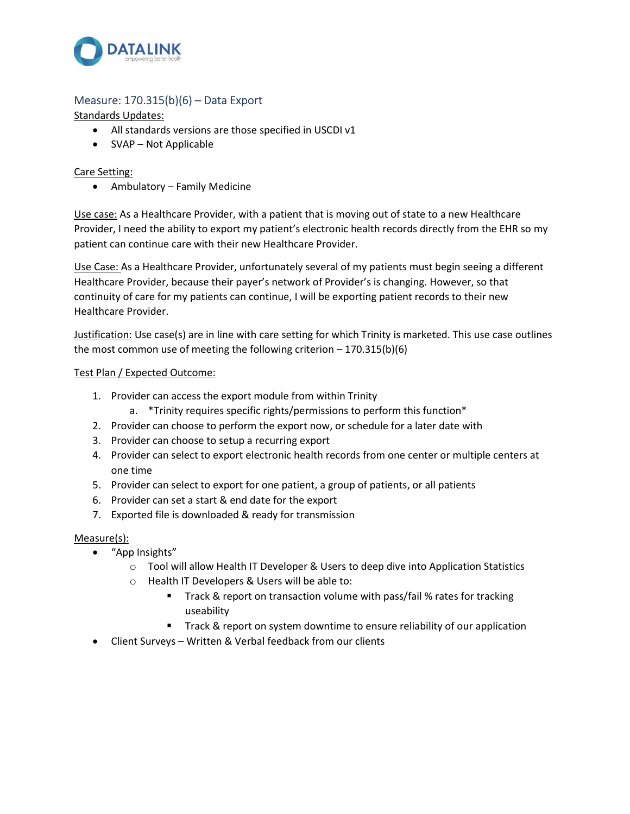

## Measure: 170.315(b)(6) – Data Export

#### Standards Updates:

- All standards versions are those specified in USCDI v1
- SVAP Not Applicable

#### Care Setting:

• Ambulatory – Family Medicine

Use case: As a Healthcare Provider, with a patient that is moving out of state to a new Healthcare Provider, I need the ability to export my patient's electronic health records directly from the EHR so my patient can continue care with their new Healthcare Provider.

Use Case: As a Healthcare Provider, unfortunately several of my patients must begin seeing a different Healthcare Provider, because their payer's network of Provider's is changing. However, so that continuity of care for my patients can continue, I will be exporting patient records to their new Healthcare Provider.

Justification: Use case(s) are in line with care setting for which Trinity is marketed. This use case outlines the most common use of meeting the following criterion – 170.315(b)(6)

#### Test Plan / Expected Outcome:

- 1. Provider can access the export module from within Trinity
	- a. \*Trinity requires specific rights/permissions to perform this function\*
- 2. Provider can choose to perform the export now, or schedule for a later date with
- 3. Provider can choose to setup a recurring export
- 4. Provider can select to export electronic health records from one center or multiple centers at one time
- 5. Provider can select to export for one patient, a group of patients, or all patients
- 6. Provider can set a start & end date for the export
- 7. Exported file is downloaded & ready for transmission

#### Measure(s):

- "App Insights"
	- $\circ$  Tool will allow Health IT Developer & Users to deep dive into Application Statistics
	- o Health IT Developers & Users will be able to:
		- Track & report on transaction volume with pass/fail % rates for tracking useability
		- Track & report on system downtime to ensure reliability of our application
- Client Surveys Written & Verbal feedback from our clients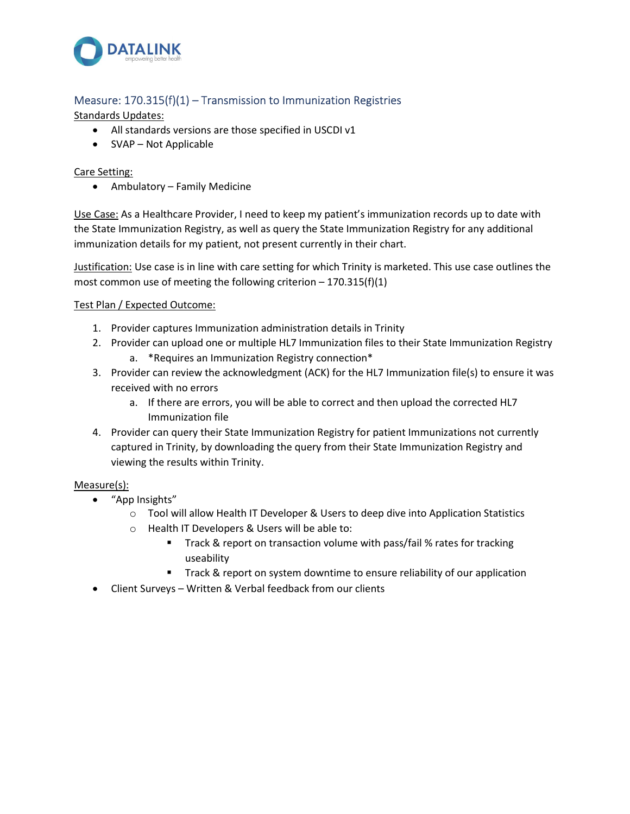

## Measure: 170.315(f)(1) – Transmission to Immunization Registries

Standards Updates:

- All standards versions are those specified in USCDI v1
- SVAP Not Applicable

#### Care Setting:

Ambulatory – Family Medicine

Use Case: As a Healthcare Provider, I need to keep my patient's immunization records up to date with the State Immunization Registry, as well as query the State Immunization Registry for any additional immunization details for my patient, not present currently in their chart.

Justification: Use case is in line with care setting for which Trinity is marketed. This use case outlines the most common use of meeting the following criterion  $-170.315(f)(1)$ 

#### Test Plan / Expected Outcome:

- 1. Provider captures Immunization administration details in Trinity
- 2. Provider can upload one or multiple HL7 Immunization files to their State Immunization Registry a. \*Requires an Immunization Registry connection\*
- 3. Provider can review the acknowledgment (ACK) for the HL7 Immunization file(s) to ensure it was received with no errors
	- a. If there are errors, you will be able to correct and then upload the corrected HL7 Immunization file
- 4. Provider can query their State Immunization Registry for patient Immunizations not currently captured in Trinity, by downloading the query from their State Immunization Registry and viewing the results within Trinity.

#### Measure(s):

- "App Insights"
	- o Tool will allow Health IT Developer & Users to deep dive into Application Statistics
	- o Health IT Developers & Users will be able to:
		- **Track & report on transaction volume with pass/fail % rates for tracking** useability
		- **Track & report on system downtime to ensure reliability of our application**
- Client Surveys Written & Verbal feedback from our clients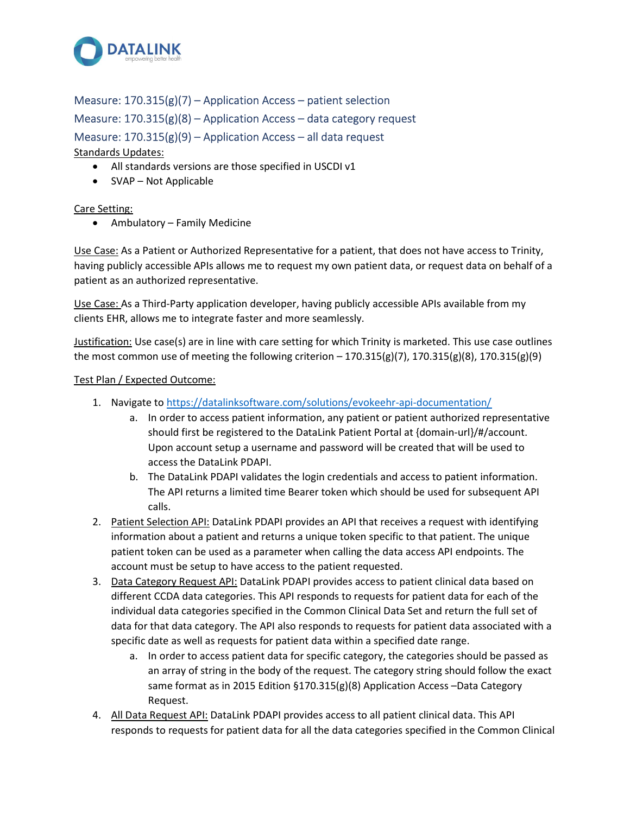

Measure: 170.315(g)(7) – Application Access – patient selection Measure: 170.315(g)(8) – Application Access – data category request Measure:  $170.315(g)(9)$  – Application Access – all data request Standards Updates:

- All standards versions are those specified in USCDI v1
- SVAP Not Applicable

#### Care Setting:

Ambulatory – Family Medicine

Use Case: As a Patient or Authorized Representative for a patient, that does not have access to Trinity, having publicly accessible APIs allows me to request my own patient data, or request data on behalf of a patient as an authorized representative.

Use Case: As a Third-Party application developer, having publicly accessible APIs available from my clients EHR, allows me to integrate faster and more seamlessly.

Justification: Use case(s) are in line with care setting for which Trinity is marketed. This use case outlines the most common use of meeting the following criterion  $-170.315(g)(7)$ , 170.315 $(g)(8)$ , 170.315 $(g)(9)$ 

#### Test Plan / Expected Outcome:

- 1. Navigate to https://datalinksoftware.com/solutions/evokeehr-api-documentation/
	- a. In order to access patient information, any patient or patient authorized representative should first be registered to the DataLink Patient Portal at {domain-url}/#/account. Upon account setup a username and password will be created that will be used to access the DataLink PDAPI.
	- b. The DataLink PDAPI validates the login credentials and access to patient information. The API returns a limited time Bearer token which should be used for subsequent API calls.
- 2. Patient Selection API: DataLink PDAPI provides an API that receives a request with identifying information about a patient and returns a unique token specific to that patient. The unique patient token can be used as a parameter when calling the data access API endpoints. The account must be setup to have access to the patient requested.
- 3. Data Category Request API: DataLink PDAPI provides access to patient clinical data based on different CCDA data categories. This API responds to requests for patient data for each of the individual data categories specified in the Common Clinical Data Set and return the full set of data for that data category. The API also responds to requests for patient data associated with a specific date as well as requests for patient data within a specified date range.
	- a. In order to access patient data for specific category, the categories should be passed as an array of string in the body of the request. The category string should follow the exact same format as in 2015 Edition §170.315(g)(8) Application Access –Data Category Request.
- 4. All Data Request API: DataLink PDAPI provides access to all patient clinical data. This API responds to requests for patient data for all the data categories specified in the Common Clinical